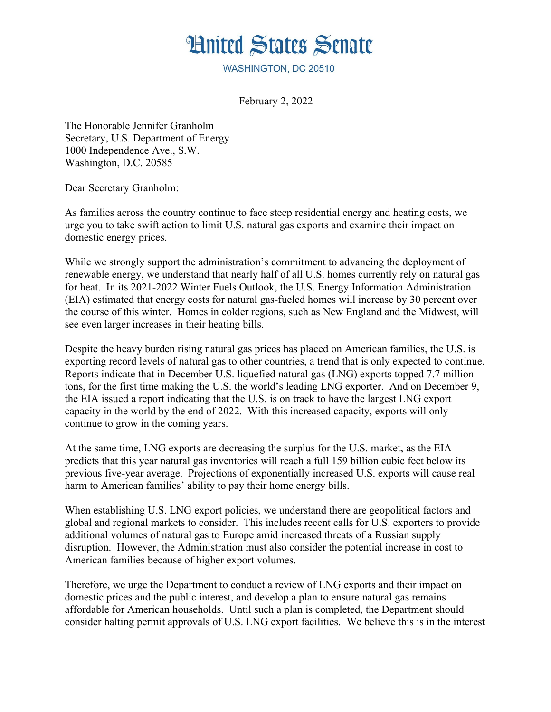## **Hnited States Senate**

WASHINGTON, DC 20510

February 2, 2022

The Honorable Jennifer Granholm Secretary, U.S. Department of Energy 1000 Independence Ave., S.W. Washington, D.C. 20585

Dear Secretary Granholm:

As families across the country continue to face steep residential energy and heating costs, we urge you to take swift action to limit U.S. natural gas exports and examine their impact on domestic energy prices.

While we strongly support the administration's commitment to advancing the deployment of renewable energy, we understand that nearly half of all U.S. homes currently rely on natural gas for heat. In its 2021-2022 Winter Fuels Outlook, the U.S. Energy Information Administration (EIA) estimated that energy costs for natural gas-fueled homes will increase by 30 percent over the course of this winter. Homes in colder regions, such as New England and the Midwest, will see even larger increases in their heating bills.

Despite the heavy burden rising natural gas prices has placed on American families, the U.S. is exporting record levels of natural gas to other countries, a trend that is only expected to continue. Reports indicate that in December U.S. liquefied natural gas (LNG) exports topped 7.7 million tons, for the first time making the U.S. the world's leading LNG exporter. And on December 9, the EIA issued a report indicating that the U.S. is on track to have the largest LNG export capacity in the world by the end of 2022. With this increased capacity, exports will only continue to grow in the coming years.

At the same time, LNG exports are decreasing the surplus for the U.S. market, as the EIA predicts that this year natural gas inventories will reach a full 159 billion cubic feet below its previous five-year average. Projections of exponentially increased U.S. exports will cause real harm to American families' ability to pay their home energy bills.

When establishing U.S. LNG export policies, we understand there are geopolitical factors and global and regional markets to consider. This includes recent calls for U.S. exporters to provide additional volumes of natural gas to Europe amid increased threats of a Russian supply disruption. However, the Administration must also consider the potential increase in cost to American families because of higher export volumes.

Therefore, we urge the Department to conduct a review of LNG exports and their impact on domestic prices and the public interest, and develop a plan to ensure natural gas remains affordable for American households. Until such a plan is completed, the Department should consider halting permit approvals of U.S. LNG export facilities. We believe this is in the interest